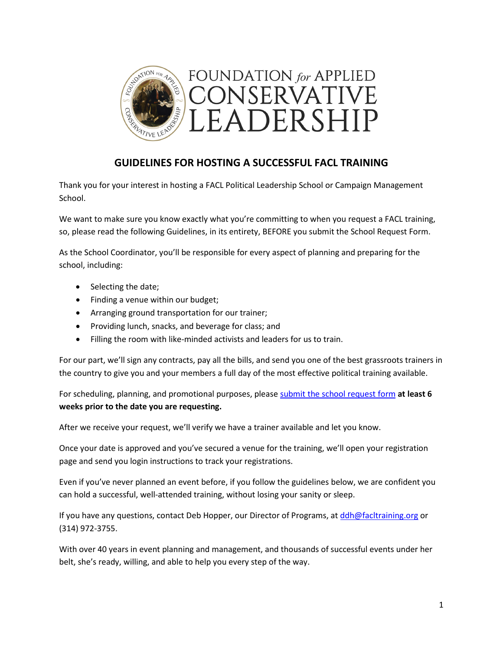

# **GUIDELINES FOR HOSTING A SUCCESSFUL FACL TRAINING**

Thank you for your interest in hosting a FACL Political Leadership School or Campaign Management School.

We want to make sure you know exactly what you're committing to when you request a FACL training, so, please read the following Guidelines, in its entirety, BEFORE you submit the School Request Form.

As the School Coordinator, you'll be responsible for every aspect of planning and preparing for the school, including:

- Selecting the date;
- Finding a venue within our budget;
- Arranging ground transportation for our trainer;
- Providing lunch, snacks, and beverage for class; and
- Filling the room with like-minded activists and leaders for us to train.

For our part, we'll sign any contracts, pay all the bills, and send you one of the best grassroots trainers in the country to give you and your members a full day of the most effective political training available.

For scheduling, planning, and promotional purposes, please [submit the school request](https://facl-training.org/schools/request-a-school-1) form **at least 6 weeks prior to the date you are requesting.** 

After we receive your request, we'll verify we have a trainer available and let you know.

Once your date is approved and you've secured a venue for the training, we'll open your registration page and send you login instructions to track your registrations.

Even if you've never planned an event before, if you follow the guidelines below, we are confident you can hold a successful, well-attended training, without losing your sanity or sleep.

If you have any questions, contact Deb Hopper, our Director of Programs, at [ddh@facltraining.org](mailto:ddh@facltraining.org) or (314) 972-3755.

With over 40 years in event planning and management, and thousands of successful events under her belt, she's ready, willing, and able to help you every step of the way.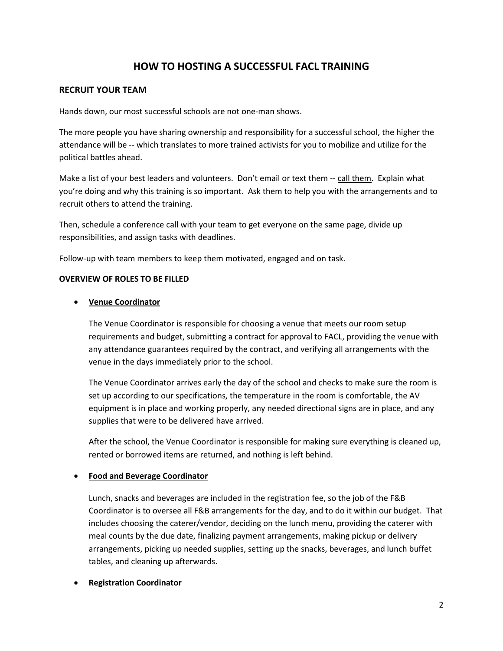# **HOW TO HOSTING A SUCCESSFUL FACL TRAINING**

### **RECRUIT YOUR TEAM**

Hands down, our most successful schools are not one-man shows.

The more people you have sharing ownership and responsibility for a successful school, the higher the attendance will be -- which translates to more trained activists for you to mobilize and utilize for the political battles ahead.

Make a list of your best leaders and volunteers. Don't email or text them -- call them. Explain what you're doing and why this training is so important. Ask them to help you with the arrangements and to recruit others to attend the training.

Then, schedule a conference call with your team to get everyone on the same page, divide up responsibilities, and assign tasks with deadlines.

Follow-up with team members to keep them motivated, engaged and on task.

### **OVERVIEW OF ROLES TO BE FILLED**

### • **Venue Coordinator**

The Venue Coordinator is responsible for choosing a venue that meets our room setup requirements and budget, submitting a contract for approval to FACL, providing the venue with any attendance guarantees required by the contract, and verifying all arrangements with the venue in the days immediately prior to the school.

The Venue Coordinator arrives early the day of the school and checks to make sure the room is set up according to our specifications, the temperature in the room is comfortable, the AV equipment is in place and working properly, any needed directional signs are in place, and any supplies that were to be delivered have arrived.

After the school, the Venue Coordinator is responsible for making sure everything is cleaned up, rented or borrowed items are returned, and nothing is left behind.

### • **Food and Beverage Coordinator**

Lunch, snacks and beverages are included in the registration fee, so the job of the F&B Coordinator is to oversee all F&B arrangements for the day, and to do it within our budget. That includes choosing the caterer/vendor, deciding on the lunch menu, providing the caterer with meal counts by the due date, finalizing payment arrangements, making pickup or delivery arrangements, picking up needed supplies, setting up the snacks, beverages, and lunch buffet tables, and cleaning up afterwards.

### • **Registration Coordinator**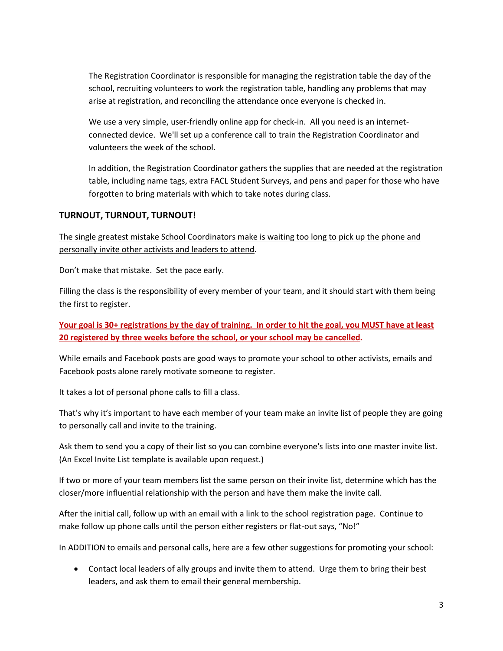The Registration Coordinator is responsible for managing the registration table the day of the school, recruiting volunteers to work the registration table, handling any problems that may arise at registration, and reconciling the attendance once everyone is checked in.

We use a very simple, user-friendly online app for check-in. All you need is an internetconnected device. We'll set up a conference call to train the Registration Coordinator and volunteers the week of the school.

In addition, the Registration Coordinator gathers the supplies that are needed at the registration table, including name tags, extra FACL Student Surveys, and pens and paper for those who have forgotten to bring materials with which to take notes during class.

## **TURNOUT, TURNOUT, TURNOUT!**

The single greatest mistake School Coordinators make is waiting too long to pick up the phone and personally invite other activists and leaders to attend.

Don't make that mistake. Set the pace early.

Filling the class is the responsibility of every member of your team, and it should start with them being the first to register.

# **Your goal is 30+ registrations by the day of training. In order to hit the goal, you MUST have at least 20 registered by three weeks before the school, or your school may be cancelled.**

While emails and Facebook posts are good ways to promote your school to other activists, emails and Facebook posts alone rarely motivate someone to register.

It takes a lot of personal phone calls to fill a class.

That's why it's important to have each member of your team make an invite list of people they are going to personally call and invite to the training.

Ask them to send you a copy of their list so you can combine everyone's lists into one master invite list. (An Excel Invite List template is available upon request.)

If two or more of your team members list the same person on their invite list, determine which has the closer/more influential relationship with the person and have them make the invite call.

After the initial call, follow up with an email with a link to the school registration page. Continue to make follow up phone calls until the person either registers or flat-out says, "No!"

In ADDITION to emails and personal calls, here are a few other suggestions for promoting your school:

• Contact local leaders of ally groups and invite them to attend. Urge them to bring their best leaders, and ask them to email their general membership.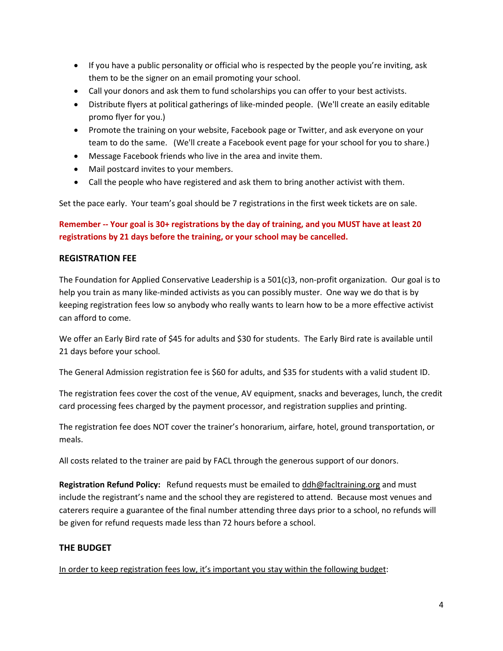- If you have a public personality or official who is respected by the people you're inviting, ask them to be the signer on an email promoting your school.
- Call your donors and ask them to fund scholarships you can offer to your best activists.
- Distribute flyers at political gatherings of like-minded people. (We'll create an easily editable promo flyer for you.)
- Promote the training on your website, Facebook page or Twitter, and ask everyone on your team to do the same. (We'll create a Facebook event page for your school for you to share.)
- Message Facebook friends who live in the area and invite them.
- Mail postcard invites to your members.
- Call the people who have registered and ask them to bring another activist with them.

Set the pace early. Your team's goal should be 7 registrations in the first week tickets are on sale.

# **Remember -- Your goal is 30+ registrations by the day of training, and you MUST have at least 20 registrations by 21 days before the training, or your school may be cancelled.**

## **REGISTRATION FEE**

The Foundation for Applied Conservative Leadership is a 501(c)3, non-profit organization. Our goal is to help you train as many like-minded activists as you can possibly muster. One way we do that is by keeping registration fees low so anybody who really wants to learn how to be a more effective activist can afford to come.

We offer an Early Bird rate of \$45 for adults and \$30 for students. The Early Bird rate is available until 21 days before your school.

The General Admission registration fee is \$60 for adults, and \$35 for students with a valid student ID.

The registration fees cover the cost of the venue, AV equipment, snacks and beverages, lunch, the credit card processing fees charged by the payment processor, and registration supplies and printing.

The registration fee does NOT cover the trainer's honorarium, airfare, hotel, ground transportation, or meals.

All costs related to the trainer are paid by FACL through the generous support of our donors.

**Registration Refund Policy:** Refund requests must be emailed to [ddh@facltraining.org](mailto:ddh@facltraining.org) and must include the registrant's name and the school they are registered to attend. Because most venues and caterers require a guarantee of the final number attending three days prior to a school, no refunds will be given for refund requests made less than 72 hours before a school.

## **THE BUDGET**

In order to keep registration fees low, it's important you stay within the following budget: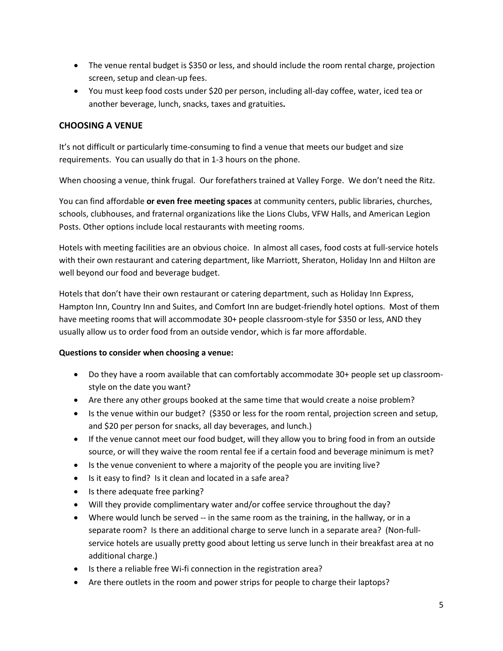- The venue rental budget is \$350 or less, and should include the room rental charge, projection screen, setup and clean-up fees.
- You must keep food costs under \$20 per person, including all-day coffee, water, iced tea or another beverage, lunch, snacks, taxes and gratuities**.**

# **CHOOSING A VENUE**

It's not difficult or particularly time-consuming to find a venue that meets our budget and size requirements. You can usually do that in 1-3 hours on the phone.

When choosing a venue, think frugal. Our forefathers trained at Valley Forge. We don't need the Ritz.

You can find affordable **or even free meeting spaces** at community centers, public libraries, churches, schools, clubhouses, and fraternal organizations like the Lions Clubs, VFW Halls, and American Legion Posts. Other options include local restaurants with meeting rooms.

Hotels with meeting facilities are an obvious choice. In almost all cases, food costs at full-service hotels with their own restaurant and catering department, like Marriott, Sheraton, Holiday Inn and Hilton are well beyond our food and beverage budget.

Hotels that don't have their own restaurant or catering department, such as Holiday Inn Express, Hampton Inn, Country Inn and Suites, and Comfort Inn are budget-friendly hotel options. Most of them have meeting rooms that will accommodate 30+ people classroom-style for \$350 or less, AND they usually allow us to order food from an outside vendor, which is far more affordable.

## **Questions to consider when choosing a venue:**

- Do they have a room available that can comfortably accommodate 30+ people set up classroomstyle on the date you want?
- Are there any other groups booked at the same time that would create a noise problem?
- Is the venue within our budget? (\$350 or less for the room rental, projection screen and setup, and \$20 per person for snacks, all day beverages, and lunch.)
- If the venue cannot meet our food budget, will they allow you to bring food in from an outside source, or will they waive the room rental fee if a certain food and beverage minimum is met?
- Is the venue convenient to where a majority of the people you are inviting live?
- Is it easy to find? Is it clean and located in a safe area?
- Is there adequate free parking?
- Will they provide complimentary water and/or coffee service throughout the day?
- Where would lunch be served -- in the same room as the training, in the hallway, or in a separate room? Is there an additional charge to serve lunch in a separate area? (Non-fullservice hotels are usually pretty good about letting us serve lunch in their breakfast area at no additional charge.)
- Is there a reliable free Wi-fi connection in the registration area?
- Are there outlets in the room and power strips for people to charge their laptops?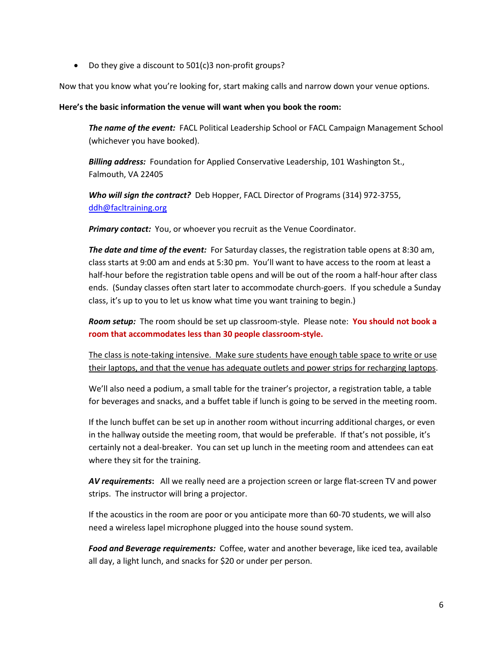• Do they give a discount to 501(c)3 non-profit groups?

Now that you know what you're looking for, start making calls and narrow down your venue options.

### **Here's the basic information the venue will want when you book the room:**

*The name of the event:* FACL Political Leadership School or FACL Campaign Management School (whichever you have booked).

*Billing address:* Foundation for Applied Conservative Leadership, 101 Washington St., Falmouth, VA 22405

*Who will sign the contract?* Deb Hopper, FACL Director of Programs (314) 972-3755, [ddh@facltraining.org](mailto:ddh@facltraining.org)

*Primary contact:* You, or whoever you recruit as the Venue Coordinator.

*The date and time of the event:* For Saturday classes, the registration table opens at 8:30 am, class starts at 9:00 am and ends at 5:30 pm. You'll want to have access to the room at least a half-hour before the registration table opens and will be out of the room a half-hour after class ends. (Sunday classes often start later to accommodate church-goers. If you schedule a Sunday class, it's up to you to let us know what time you want training to begin.)

*Room setup:* The room should be set up classroom-style. Please note: **You should not book a room that accommodates less than 30 people classroom-style.** 

The class is note-taking intensive. Make sure students have enough table space to write or use their laptops, and that the venue has adequate outlets and power strips for recharging laptops.

We'll also need a podium, a small table for the trainer's projector, a registration table, a table for beverages and snacks, and a buffet table if lunch is going to be served in the meeting room.

If the lunch buffet can be set up in another room without incurring additional charges, or even in the hallway outside the meeting room, that would be preferable. If that's not possible, it's certainly not a deal-breaker. You can set up lunch in the meeting room and attendees can eat where they sit for the training.

*AV requirements***:** All we really need are a projection screen or large flat-screen TV and power strips. The instructor will bring a projector.

If the acoustics in the room are poor or you anticipate more than 60-70 students, we will also need a wireless lapel microphone plugged into the house sound system.

*Food and Beverage requirements:* Coffee, water and another beverage, like iced tea, available all day, a light lunch, and snacks for \$20 or under per person.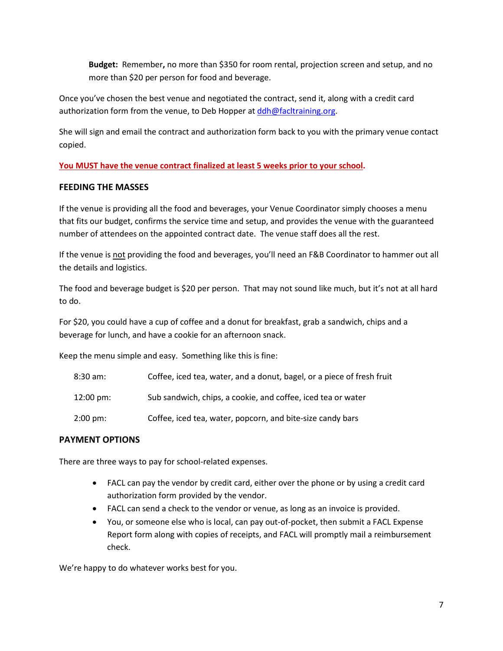**Budget:** Remember**,** no more than \$350 for room rental, projection screen and setup, and no more than \$20 per person for food and beverage.

Once you've chosen the best venue and negotiated the contract, send it, along with a credit card authorization form from the venue, to Deb Hopper at [ddh@facltraining.org.](mailto:ddh@facltraining.org)

She will sign and email the contract and authorization form back to you with the primary venue contact copied.

**You MUST have the venue contract finalized at least 5 weeks prior to your school.** 

## **FEEDING THE MASSES**

If the venue is providing all the food and beverages, your Venue Coordinator simply chooses a menu that fits our budget, confirms the service time and setup, and provides the venue with the guaranteed number of attendees on the appointed contract date. The venue staff does all the rest.

If the venue is not providing the food and beverages, you'll need an F&B Coordinator to hammer out all the details and logistics.

The food and beverage budget is \$20 per person. That may not sound like much, but it's not at all hard to do.

For \$20, you could have a cup of coffee and a donut for breakfast, grab a sandwich, chips and a beverage for lunch, and have a cookie for an afternoon snack.

Keep the menu simple and easy. Something like this is fine:

| 8:30 am: | Coffee, iced tea, water, and a donut, bagel, or a piece of fresh fruit |
|----------|------------------------------------------------------------------------|
|----------|------------------------------------------------------------------------|

- 12:00 pm: Sub sandwich, chips, a cookie, and coffee, iced tea or water
- 2:00 pm: Coffee, iced tea, water, popcorn, and bite-size candy bars

# **PAYMENT OPTIONS**

There are three ways to pay for school-related expenses.

- FACL can pay the vendor by credit card, either over the phone or by using a credit card authorization form provided by the vendor.
- FACL can send a check to the vendor or venue, as long as an invoice is provided.
- You, or someone else who is local, can pay out-of-pocket, then submit a FACL Expense Report form along with copies of receipts, and FACL will promptly mail a reimbursement check.

We're happy to do whatever works best for you.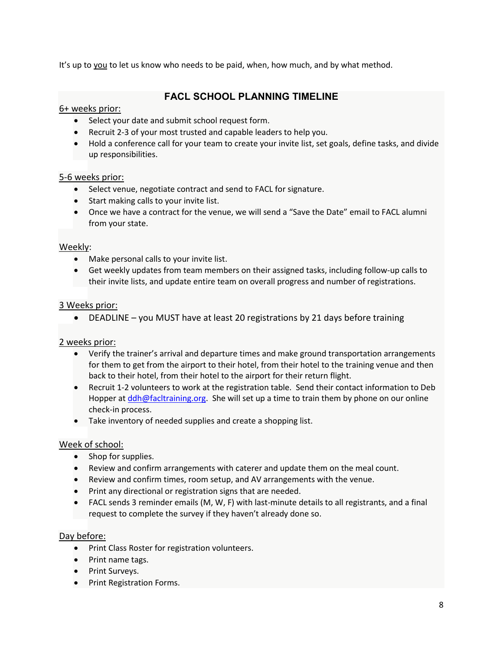It's up to you to let us know who needs to be paid, when, how much, and by what method.

# **FACL SCHOOL PLANNING TIMELINE**

# 6+ weeks prior:

- Select your date and submit school request form.
- Recruit 2-3 of your most trusted and capable leaders to help you.
- Hold a conference call for your team to create your invite list, set goals, define tasks, and divide up responsibilities.

## 5-6 weeks prior:

- Select venue, negotiate contract and send to FACL for signature.
- Start making calls to your invite list.
- Once we have a contract for the venue, we will send a "Save the Date" email to FACL alumni from your state.

## Weekly:

- Make personal calls to your invite list.
- Get weekly updates from team members on their assigned tasks, including follow-up calls to their invite lists, and update entire team on overall progress and number of registrations.

## 3 Weeks prior:

• DEADLINE – you MUST have at least 20 registrations by 21 days before training

## 2 weeks prior:

- Verify the trainer's arrival and departure times and make ground transportation arrangements for them to get from the airport to their hotel, from their hotel to the training venue and then back to their hotel, from their hotel to the airport for their return flight.
- Recruit 1-2 volunteers to work at the registration table. Send their contact information to Deb Hopper a[t ddh@facltraining.org.](mailto:ddh@facltraining.org) She will set up a time to train them by phone on our online check-in process.
- Take inventory of needed supplies and create a shopping list.

## Week of school:

- Shop for supplies.
- Review and confirm arrangements with caterer and update them on the meal count.
- Review and confirm times, room setup, and AV arrangements with the venue.
- Print any directional or registration signs that are needed.
- FACL sends 3 reminder emails (M, W, F) with last-minute details to all registrants, and a final request to complete the survey if they haven't already done so.

### Day before:

- Print Class Roster for registration volunteers.
- Print name tags.
- Print Surveys.
- Print Registration Forms.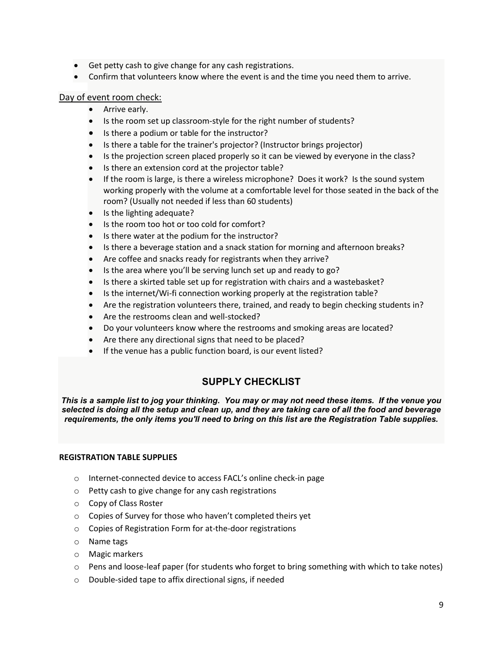- Get petty cash to give change for any cash registrations.
- Confirm that volunteers know where the event is and the time you need them to arrive.

# Day of event room check:

- Arrive early.
- Is the room set up classroom-style for the right number of students?
- Is there a podium or table for the instructor?
- Is there a table for the trainer's projector? (Instructor brings projector)
- Is the projection screen placed properly so it can be viewed by everyone in the class?
- Is there an extension cord at the projector table?
- If the room is large, is there a wireless microphone? Does it work? Is the sound system working properly with the volume at a comfortable level for those seated in the back of the room? (Usually not needed if less than 60 students)
- Is the lighting adequate?
- Is the room too hot or too cold for comfort?
- Is there water at the podium for the instructor?
- Is there a beverage station and a snack station for morning and afternoon breaks?
- Are coffee and snacks ready for registrants when they arrive?
- Is the area where you'll be serving lunch set up and ready to go?
- Is there a skirted table set up for registration with chairs and a wastebasket?
- Is the internet/Wi-fi connection working properly at the registration table?
- Are the registration volunteers there, trained, and ready to begin checking students in?
- Are the restrooms clean and well-stocked?
- Do your volunteers know where the restrooms and smoking areas are located?
- Are there any directional signs that need to be placed?
- If the venue has a public function board, is our event listed?

# **SUPPLY CHECKLIST**

*This is a sample list to jog your thinking. You may or may not need these items. If the venue you selected is doing all the setup and clean up, and they are taking care of all the food and beverage requirements, the only items you'll need to bring on this list are the Registration Table supplies.* 

### **REGISTRATION TABLE SUPPLIES**

- o Internet-connected device to access FACL's online check-in page
- o Petty cash to give change for any cash registrations
- o Copy of Class Roster
- o Copies of Survey for those who haven't completed theirs yet
- o Copies of Registration Form for at-the-door registrations
- o Name tags
- o Magic markers
- $\circ$  Pens and loose-leaf paper (for students who forget to bring something with which to take notes)
- o Double-sided tape to affix directional signs, if needed